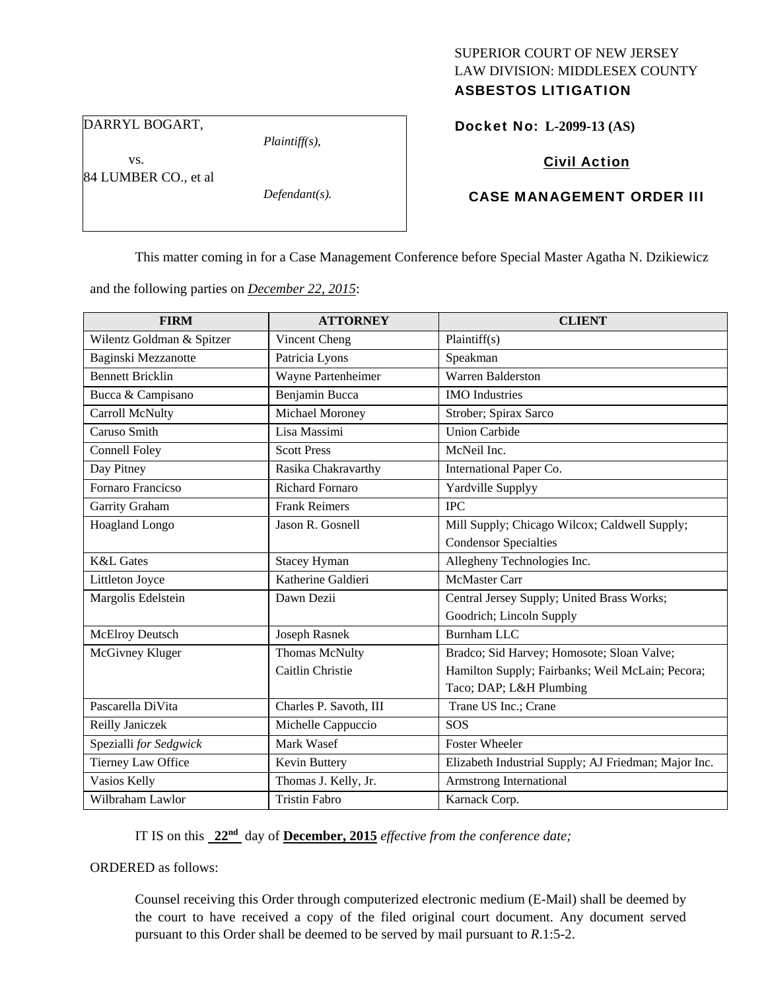# SUPERIOR COURT OF NEW JERSEY LAW DIVISION: MIDDLESEX COUNTY

## ASBESTOS LITIGATION

DARRYL BOGART,

vs.

*Plaintiff(s),* 

Docket No: **L-2099-13 (AS)** 

Civil Action

84 LUMBER CO., et al

*Defendant(s).* 

#### CASE MANAGEMENT ORDER III

This matter coming in for a Case Management Conference before Special Master Agatha N. Dzikiewicz

and the following parties on *December 22, 2015*:

| <b>FIRM</b>               | <b>ATTORNEY</b>        | <b>CLIENT</b>                                        |
|---------------------------|------------------------|------------------------------------------------------|
| Wilentz Goldman & Spitzer | Vincent Cheng          | Plaintiff(s)                                         |
| Baginski Mezzanotte       | Patricia Lyons         | Speakman                                             |
| <b>Bennett Bricklin</b>   | Wayne Partenheimer     | <b>Warren Balderston</b>                             |
| Bucca & Campisano         | Benjamin Bucca         | <b>IMO</b> Industries                                |
| Carroll McNulty           | Michael Moroney        | Strober; Spirax Sarco                                |
| Caruso Smith              | Lisa Massimi           | <b>Union Carbide</b>                                 |
| <b>Connell Foley</b>      | <b>Scott Press</b>     | McNeil Inc.                                          |
| Day Pitney                | Rasika Chakravarthy    | International Paper Co.                              |
| Fornaro Francicso         | <b>Richard Fornaro</b> | Yardville Supplyy                                    |
| Garrity Graham            | <b>Frank Reimers</b>   | <b>IPC</b>                                           |
| Hoagland Longo            | Jason R. Gosnell       | Mill Supply; Chicago Wilcox; Caldwell Supply;        |
|                           |                        | <b>Condensor Specialties</b>                         |
| <b>K&amp;L</b> Gates      | <b>Stacey Hyman</b>    | Allegheny Technologies Inc.                          |
| Littleton Joyce           | Katherine Galdieri     | <b>McMaster Carr</b>                                 |
| Margolis Edelstein        | Dawn Dezii             | Central Jersey Supply; United Brass Works;           |
|                           |                        | Goodrich; Lincoln Supply                             |
| McElroy Deutsch           | <b>Joseph Rasnek</b>   | <b>Burnham LLC</b>                                   |
| McGivney Kluger           | <b>Thomas McNulty</b>  | Bradco; Sid Harvey; Homosote; Sloan Valve;           |
|                           | Caitlin Christie       | Hamilton Supply; Fairbanks; Weil McLain; Pecora;     |
|                           |                        | Taco; DAP; L&H Plumbing                              |
| Pascarella DiVita         | Charles P. Savoth, III | Trane US Inc.; Crane                                 |
| Reilly Janiczek           | Michelle Cappuccio     | <b>SOS</b>                                           |
| Spezialli for Sedgwick    | Mark Wasef             | <b>Foster Wheeler</b>                                |
| Tierney Law Office        | Kevin Buttery          | Elizabeth Industrial Supply; AJ Friedman; Major Inc. |
| Vasios Kelly              | Thomas J. Kelly, Jr.   | Armstrong International                              |
| Wilbraham Lawlor          | <b>Tristin Fabro</b>   | Karnack Corp.                                        |

IT IS on this **22nd** day of **December, 2015** *effective from the conference date;*

ORDERED as follows:

Counsel receiving this Order through computerized electronic medium (E-Mail) shall be deemed by the court to have received a copy of the filed original court document. Any document served pursuant to this Order shall be deemed to be served by mail pursuant to *R*.1:5-2.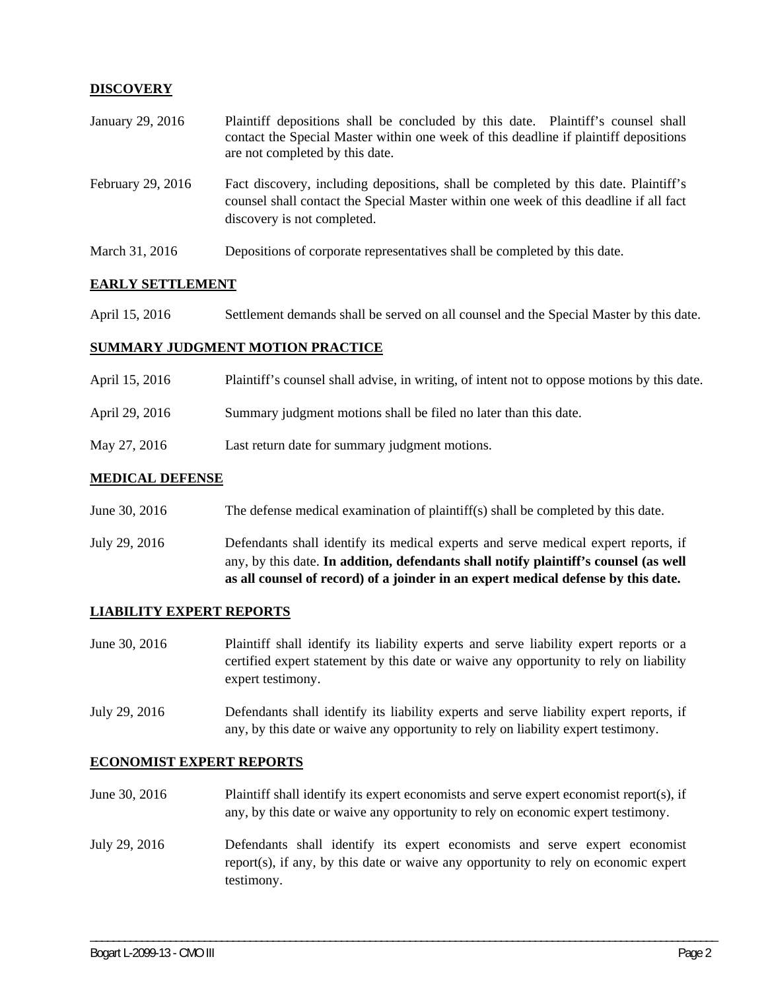### **DISCOVERY**

| January 29, 2016  | Plaintiff depositions shall be concluded by this date. Plaintiff's counsel shall<br>contact the Special Master within one week of this deadline if plaintiff depositions<br>are not completed by this date. |
|-------------------|-------------------------------------------------------------------------------------------------------------------------------------------------------------------------------------------------------------|
| February 29, 2016 | Fact discovery, including depositions, shall be completed by this date. Plaintiff's<br>counsel shall contact the Special Master within one week of this deadline if all fact<br>discovery is not completed. |
| March 31, 2016    | Depositions of corporate representatives shall be completed by this date.                                                                                                                                   |

#### **EARLY SETTLEMENT**

April 15, 2016 Settlement demands shall be served on all counsel and the Special Master by this date.

#### **SUMMARY JUDGMENT MOTION PRACTICE**

| April 15, 2016 | Plaintiff's counsel shall advise, in writing, of intent not to oppose motions by this date. |
|----------------|---------------------------------------------------------------------------------------------|
| April 29, 2016 | Summary judgment motions shall be filed no later than this date.                            |
| May 27, 2016   | Last return date for summary judgment motions.                                              |

#### **MEDICAL DEFENSE**

June 30, 2016 The defense medical examination of plaintiff(s) shall be completed by this date.

July 29, 2016 Defendants shall identify its medical experts and serve medical expert reports, if any, by this date. **In addition, defendants shall notify plaintiff's counsel (as well as all counsel of record) of a joinder in an expert medical defense by this date.** 

#### **LIABILITY EXPERT REPORTS**

June 30, 2016 Plaintiff shall identify its liability experts and serve liability expert reports or a certified expert statement by this date or waive any opportunity to rely on liability expert testimony.

July 29, 2016 Defendants shall identify its liability experts and serve liability expert reports, if any, by this date or waive any opportunity to rely on liability expert testimony.

#### **ECONOMIST EXPERT REPORTS**

June 30, 2016 Plaintiff shall identify its expert economists and serve expert economist report(s), if any, by this date or waive any opportunity to rely on economic expert testimony.

July 29, 2016 Defendants shall identify its expert economists and serve expert economist report(s), if any, by this date or waive any opportunity to rely on economic expert testimony.

\_\_\_\_\_\_\_\_\_\_\_\_\_\_\_\_\_\_\_\_\_\_\_\_\_\_\_\_\_\_\_\_\_\_\_\_\_\_\_\_\_\_\_\_\_\_\_\_\_\_\_\_\_\_\_\_\_\_\_\_\_\_\_\_\_\_\_\_\_\_\_\_\_\_\_\_\_\_\_\_\_\_\_\_\_\_\_\_\_\_\_\_\_\_\_\_\_\_\_\_\_\_\_\_\_\_\_\_\_\_